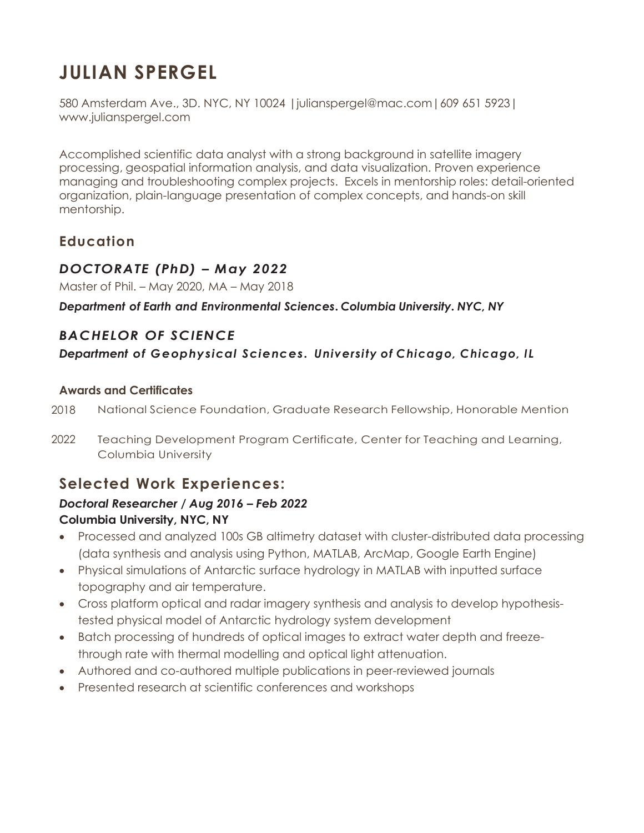# **JULIAN SPERGEL**

580 Amsterdam Ave., 3D. NYC, NY 10024 |julianspergel@mac.com|609 651 5923| www.julianspergel.com

Accomplished scientific data analyst with a strong background in satellite imagery processing, geospatial information analysis, and data visualization. Proven experience managing and troubleshooting complex projects. Excels in mentorship roles: detail-oriented organization, plain-language presentation of complex concepts, and hands-on skill mentorship.

## **Education**

### *DOCTORATE (PhD) – May 2022*

Master of Phil. – May 2020, MA – May 2018

*Department of Earth and Environmental Sciences. Columbia University. NYC, NY*

### *BACHELOR OF SCIENCE*

*Department of Geophysical Sciences. University of Chicago, Chicago, IL*

#### **Awards and Certificates**

- 2018 National Science Foundation, Graduate Research Fellowship, Honorable Mention
- 2022 Teaching Development Program Certificate, Center for Teaching and Learning, Columbia University

# **Selected Work Experiences:**

#### *Doctoral Researcher / Aug 2016 – Feb 2022* **Columbia University, NYC, NY**

- Processed and analyzed 100s GB altimetry dataset with cluster-distributed data processing (data synthesis and analysis using Python, MATLAB, ArcMap, Google Earth Engine)
- Physical simulations of Antarctic surface hydrology in MATLAB with inputted surface topography and air temperature.
- Cross platform optical and radar imagery synthesis and analysis to develop hypothesistested physical model of Antarctic hydrology system development
- Batch processing of hundreds of optical images to extract water depth and freezethrough rate with thermal modelling and optical light attenuation.
- Authored and co-authored multiple publications in peer-reviewed journals
- Presented research at scientific conferences and workshops